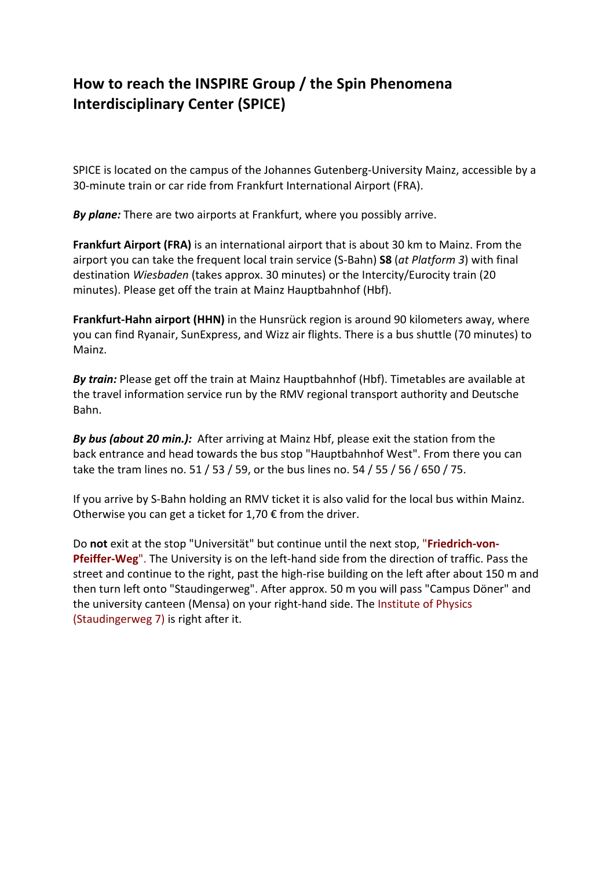## How to reach the INSPIRE Group / the Spin Phenomena **Interdisciplinary Center (SPICE)**

SPICE is located on the campus of the Johannes Gutenberg-University Mainz, accessible by a 30-minute train or car ride from Frankfurt International Airport (FRA).

**By plane:** There are two airports at Frankfurt, where you possibly arrive.

**Frankfurt Airport (FRA)** is an international airport that is about 30 km to Mainz. From the airport you can take the frequent local train service (S-Bahn) **S8** (at *Platform 3*) with final destination *Wiesbaden* (takes approx. 30 minutes) or the Intercity/Eurocity train (20 minutes). Please get off the train at Mainz Hauptbahnhof (Hbf).

**Frankfurt-Hahn airport (HHN)** in the Hunsrück region is around 90 kilometers away, where you can find Ryanair, SunExpress, and Wizz air flights. There is a bus shuttle (70 minutes) to Mainz.

**By train:** Please get off the train at Mainz Hauptbahnhof (Hbf). Timetables are available at the travel information service run by the RMV regional transport authority and Deutsche Bahn.

**By bus (about 20 min.):** After arriving at Mainz Hbf, please exit the station from the back entrance and head towards the bus stop "Hauptbahnhof West". From there you can take the tram lines no. 51 / 53 / 59, or the bus lines no. 54 / 55 / 56 / 650 / 75.

If you arrive by S-Bahn holding an RMV ticket it is also valid for the local bus within Mainz. Otherwise you can get a ticket for 1,70  $\epsilon$  from the driver.

Do not exit at the stop "Universität" but continue until the next stop, "**Friedrich-von-Pfeiffer-Weg**". The University is on the left-hand side from the direction of traffic. Pass the street and continue to the right, past the high-rise building on the left after about 150 m and then turn left onto "Staudingerweg". After approx. 50 m you will pass "Campus Döner" and the university canteen (Mensa) on your right-hand side. The Institute of Physics (Staudingerweg  $7$ ) is right after it.